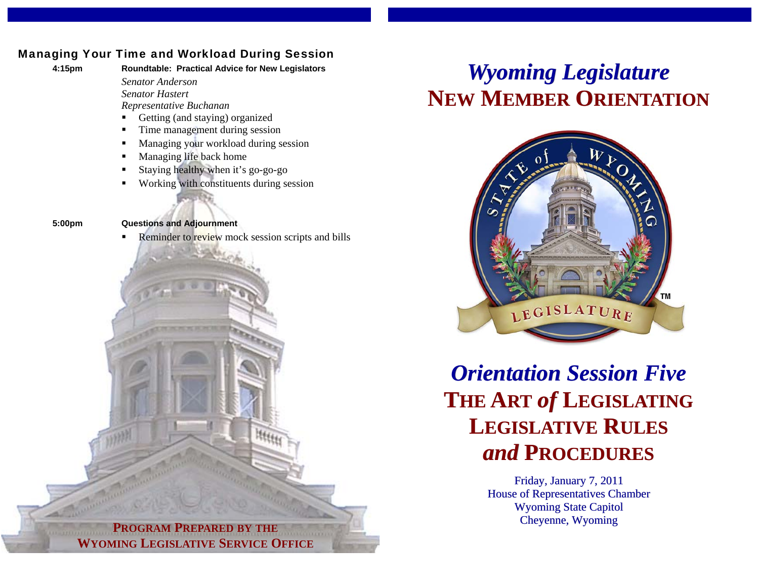## Managing Your Time and Workload During Session

**4:15pm Roundtable: Practical Advice for New Legislators**  *Senator Anderson Senator Hastert* 

 *Representative Buchanan* 

- Getting (and staying) organized
- Time management during session
- Managing your workload during session
- Managing life back home
- Staying healthy when it's go-go-go
- Working with constituents during session
- 

**5:00pm Questions and Adjournment** 

Reminder to review mock session scripts and bills

## *Wyoming Legislature* **NEW MEMBER ORIENTATION**



*Orientation Session Five***THE ART** *of* **LEGISLATING LEGISLATIVE RULES** *and* **PROCEDURES**

> Friday, January 7, 2011 House of Representatives Chamber Wyoming State Capitol Cheyenne, Wyoming

**PROGRAM PREPARED BY THE WYOMING LEGISLATIVE SERVICE OFFICE**